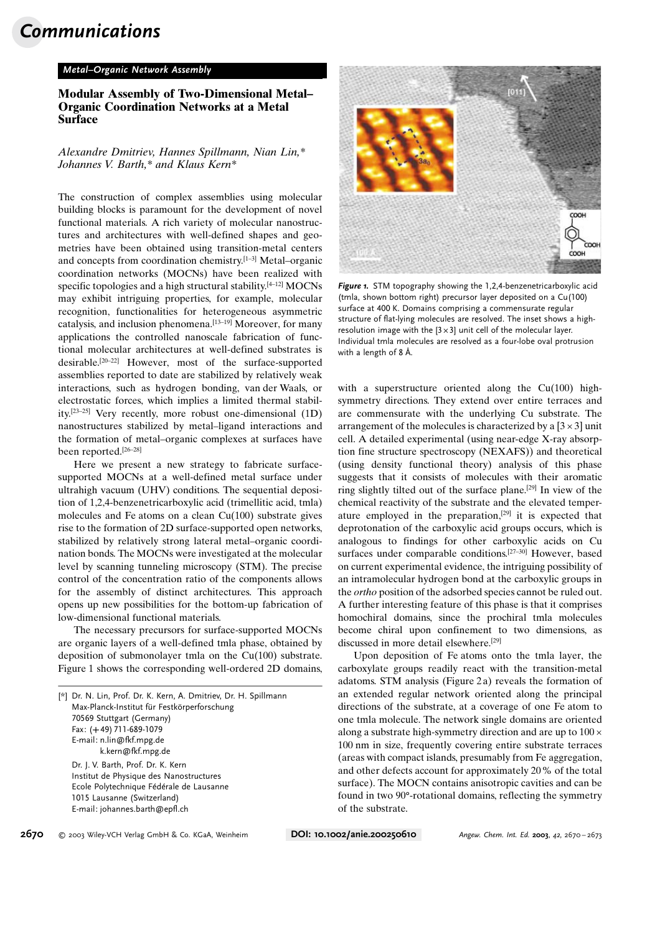# Communications

#### Metal–Organic Network Assembly

### Modular Assembly of Two-Dimensional Metal– Organic Coordination Networks at a Metal Surface

Alexandre Dmitriev, Hannes Spillmann, Nian Lin,\* Johannes V. Barth,\* and Klaus Kern\*

The construction of complex assemblies using molecular building blocks is paramount for the development of novel functional materials. A rich variety of molecular nanostructures and architectures with well-defined shapes and geometries have been obtained using transition-metal centers and concepts from coordination chemistry.[1–3] Metal–organic coordination networks (MOCNs) have been realized with specific topologies and a high structural stability.<sup>[4–12]</sup> MOCNs may exhibit intriguing properties, for example, molecular recognition, functionalities for heterogeneous asymmetric catalysis, and inclusion phenomena.[13–19] Moreover, for many applications the controlled nanoscale fabrication of functional molecular architectures at well-defined substrates is desirable.[20–22] However, most of the surface-supported assemblies reported to date are stabilized by relatively weak interactions, such as hydrogen bonding, van der Waals, or electrostatic forces, which implies a limited thermal stability.[23–25] Very recently, more robust one-dimensional (1D) nanostructures stabilized by metal–ligand interactions and the formation of metal–organic complexes at surfaces have been reported.[26–28]

Here we present a new strategy to fabricate surfacesupported MOCNs at a well-defined metal surface under ultrahigh vacuum (UHV) conditions. The sequential deposition of 1,2,4-benzenetricarboxylic acid (trimellitic acid, tmla) molecules and Fe atoms on a clean Cu(100) substrate gives rise to the formation of 2D surface-supported open networks, stabilized by relatively strong lateral metal–organic coordination bonds. The MOCNs were investigated at the molecular level by scanning tunneling microscopy (STM). The precise control of the concentration ratio of the components allows for the assembly of distinct architectures. This approach opens up new possibilities for the bottom-up fabrication of low-dimensional functional materials.

The necessary precursors for surface-supported MOCNs are organic layers of a well-defined tmla phase, obtained by deposition of submonolayer tmla on the Cu(100) substrate. Figure 1 shows the corresponding well-ordered 2D domains,

| [*] Dr. N. Lin, Prof. Dr. K. Kern, A. Dmitriev, Dr. H. Spillmann |
|------------------------------------------------------------------|
| Max-Planck-Institut für Festkörperforschung                      |
| 70569 Stuttgart (Germany)                                        |
| Fax: (+49) 711-689-1079                                          |
| E-mail: n.lin@fkf.mpg.de                                         |
| k.kern@fkf.mpg.de                                                |
| Dr. J. V. Barth, Prof. Dr. K. Kern                               |
| Institut de Physique des Nanostructures                          |
| Ecole Polytechnique Fédérale de Lausanne                         |
| 1015 Lausanne (Switzerland)                                      |
| E-mail: johannes.barth@epfl.ch                                   |
|                                                                  |



Figure 1. STM topography showing the 1,2,4-benzenetricarboxylic acid (tmla, shown bottom right) precursor layer deposited on a Cu(100) surface at 400 K. Domains comprising a commensurate regular structure of flat-lying molecules are resolved. The inset shows a highresolution image with the  $[3 \times 3]$  unit cell of the molecular layer. Individual tmla molecules are resolved as a four-lobe oval protrusion with a length of 8 Å.

with a superstructure oriented along the  $Cu(100)$  highsymmetry directions. They extend over entire terraces and are commensurate with the underlying Cu substrate. The arrangement of the molecules is characterized by a  $[3 \times 3]$  unit cell. A detailed experimental (using near-edge X-ray absorption fine structure spectroscopy (NEXAFS)) and theoretical (using density functional theory) analysis of this phase suggests that it consists of molecules with their aromatic ring slightly tilted out of the surface plane.[29] In view of the chemical reactivity of the substrate and the elevated temperature employed in the preparation,[29] it is expected that deprotonation of the carboxylic acid groups occurs, which is analogous to findings for other carboxylic acids on Cu surfaces under comparable conditions.[27–30] However, based on current experimental evidence, the intriguing possibility of an intramolecular hydrogen bond at the carboxylic groups in the ortho position of the adsorbed species cannot be ruled out. A further interesting feature of this phase is that it comprises homochiral domains, since the prochiral tmla molecules become chiral upon confinement to two dimensions, as discussed in more detail elsewhere.[29]

Upon deposition of Fe atoms onto the tmla layer, the carboxylate groups readily react with the transition-metal adatoms. STM analysis (Figure 2 a) reveals the formation of an extended regular network oriented along the principal directions of the substrate, at a coverage of one Fe atom to one tmla molecule. The network single domains are oriented along a substrate high-symmetry direction and are up to  $100 \times$ 100 nm in size, frequently covering entire substrate terraces (areas with compact islands, presumably from Fe aggregation, and other defects account for approximately 20% of the total surface). The MOCN contains anisotropic cavities and can be found in two 90<sup>°</sup>-rotational domains, reflecting the symmetry of the substrate.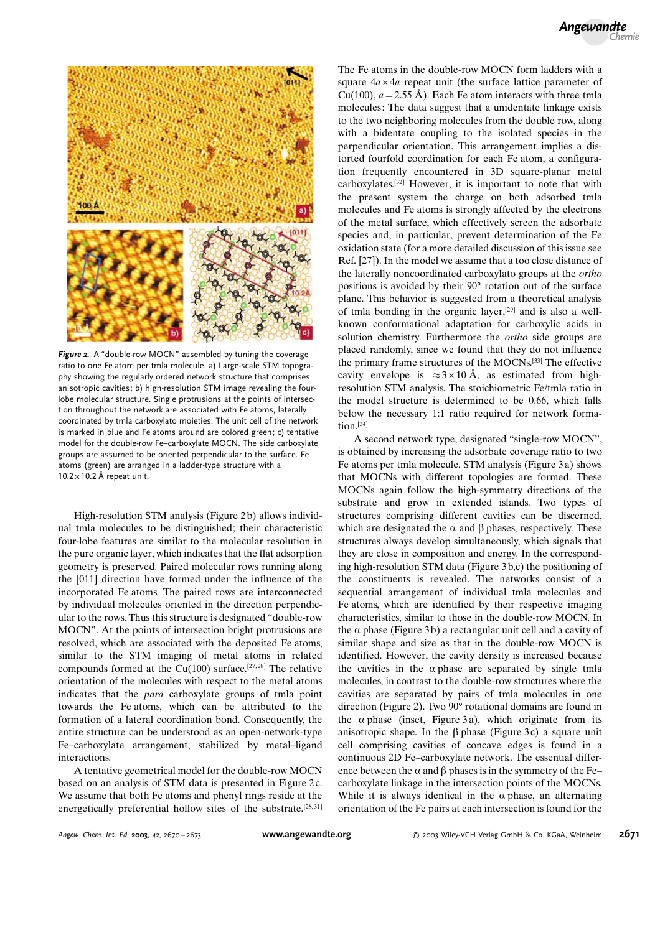



Figure 2. A "double-row MOCN" assembled by tuning the coverage ratio to one Fe atom per tmla molecule. a) Large-scale STM topography showing the regularly ordered network structure that comprises anisotropic cavities; b) high-resolution STM image revealing the fourlobe molecular structure. Single protrusions at the points of intersection throughout the network are associated with Fe atoms, laterally coordinated by tmla carboxylato moieties. The unit cell of the network is marked in blue and Fe atoms around are colored green; c) tentative model for the double-row Fe–carboxylate MOCN. The side carboxylate groups are assumed to be oriented perpendicular to the surface. Fe atoms (green) are arranged in a ladder-type structure with a  $10.2 \times 10.2$  Å repeat unit.

High-resolution STM analysis (Figure 2 b) allows individual tmla molecules to be distinguished; their characteristic four-lobe features are similar to the molecular resolution in the pure organic layer, which indicates that the flat adsorption geometry is preserved. Paired molecular rows running along the [011] direction have formed under the influence of the incorporated Fe atoms. The paired rows are interconnected by individual molecules oriented in the direction perpendicular to the rows. Thus this structure is designated "double-row MOCN". At the points of intersection bright protrusions are resolved, which are associated with the deposited Fe atoms, similar to the STM imaging of metal atoms in related compounds formed at the  $Cu(100)$  surface.<sup>[27,28]</sup> The relative orientation of the molecules with respect to the metal atoms indicates that the para carboxylate groups of tmla point towards the Fe atoms, which can be attributed to the formation of a lateral coordination bond. Consequently, the entire structure can be understood as an open-network-type Fe–carboxylate arrangement, stabilized by metal–ligand interactions.

A tentative geometrical model for the double-row MOCN based on an analysis of STM data is presented in Figure 2c. We assume that both Fe atoms and phenyl rings reside at the energetically preferential hollow sites of the substrate.<sup>[28,31]</sup> The Fe atoms in the double-row MOCN form ladders with a square  $4a \times 4a$  repeat unit (the surface lattice parameter of Cu(100),  $a = 2.55 \text{ Å}$ ). Each Fe atom interacts with three tmla molecules: The data suggest that a unidentate linkage exists to the two neighboring molecules from the double row, along with a bidentate coupling to the isolated species in the perpendicular orientation. This arrangement implies a distorted fourfold coordination for each Fe atom, a configuration frequently encountered in 3D square-planar metal carboxylates.[32] However, it is important to note that with the present system the charge on both adsorbed tmla molecules and Fe atoms is strongly affected by the electrons of the metal surface, which effectively screen the adsorbate species and, in particular, prevent determination of the Fe oxidation state (for a more detailed discussion of this issue see Ref. [27]). In the model we assume that a too close distance of the laterally noncoordinated carboxylato groups at the ortho positions is avoided by their 90° rotation out of the surface plane. This behavior is suggested from a theoretical analysis of tmla bonding in the organic layer,[29] and is also a wellknown conformational adaptation for carboxylic acids in solution chemistry. Furthermore the ortho side groups are placed randomly, since we found that they do not influence the primary frame structures of the MOCNs.[33] The effective cavity envelope is  $\approx 3 \times 10 \text{ Å}$ , as estimated from highresolution STM analysis. The stoichiometric Fe/tmla ratio in the model structure is determined to be 0.66, which falls below the necessary 1:1 ratio required for network forma $tion.$ [34]

A second network type, designated "single-row MOCN", is obtained by increasing the adsorbate coverage ratio to two Fe atoms per tmla molecule. STM analysis (Figure 3 a) shows that MOCNs with different topologies are formed. These MOCNs again follow the high-symmetry directions of the substrate and grow in extended islands. Two types of structures comprising different cavities can be discerned, which are designated the  $\alpha$  and  $\beta$  phases, respectively. These structures always develop simultaneously, which signals that they are close in composition and energy. In the corresponding high-resolution STM data (Figure 3 b,c) the positioning of the constituents is revealed. The networks consist of a sequential arrangement of individual tmla molecules and Fe atoms, which are identified by their respective imaging characteristics, similar to those in the double-row MOCN. In the  $\alpha$  phase (Figure 3b) a rectangular unit cell and a cavity of similar shape and size as that in the double-row MOCN is identified. However, the cavity density is increased because the cavities in the  $\alpha$  phase are separated by single tmla molecules, in contrast to the double-row structures where the cavities are separated by pairs of tmla molecules in one direction (Figure 2). Two 90° rotational domains are found in the  $\alpha$  phase (inset, Figure 3a), which originate from its anisotropic shape. In the  $\beta$  phase (Figure 3c) a square unit cell comprising cavities of concave edges is found in a continuous 2D Fe–carboxylate network. The essential difference between the  $\alpha$  and  $\beta$  phases is in the symmetry of the Fe– carboxylate linkage in the intersection points of the MOCNs. While it is always identical in the  $\alpha$  phase, an alternating orientation of the Fe pairs at each intersection is found for the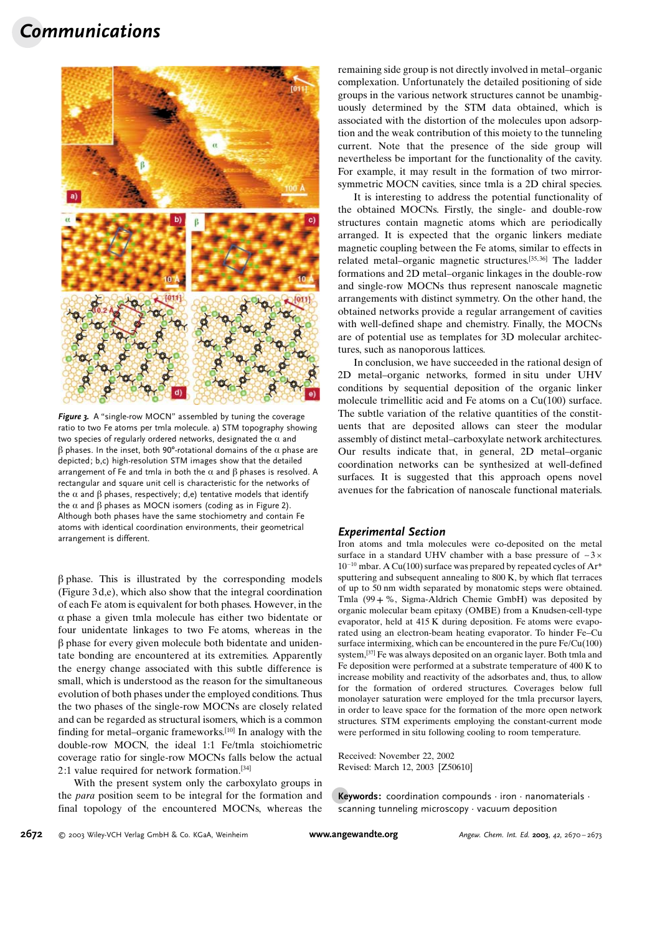## Communications



Figure 3. A "single-row MOCN" assembled by tuning the coverage ratio to two Fe atoms per tmla molecule. a) STM topography showing two species of regularly ordered networks, designated the  $\alpha$  and  $\beta$  phases. In the inset, both 90°-rotational domains of the  $\alpha$  phase are depicted; b,c) high-resolution STM images show that the detailed arrangement of Fe and tmla in both the  $\alpha$  and  $\beta$  phases is resolved. A rectangular and square unit cell is characteristic for the networks of the  $\alpha$  and  $\beta$  phases, respectively; d,e) tentative models that identify the  $\alpha$  and  $\beta$  phases as MOCN isomers (coding as in Figure 2). Although both phases have the same stochiometry and contain Fe atoms with identical coordination environments, their geometrical arrangement is different.

 $\beta$  phase. This is illustrated by the corresponding models (Figure 3 d,e), which also show that the integral coordination of each Fe atom is equivalent for both phases. However, in the  $\alpha$  phase a given tmla molecule has either two bidentate or four unidentate linkages to two Fe atoms, whereas in the  $\beta$  phase for every given molecule both bidentate and unidentate bonding are encountered at its extremities. Apparently the energy change associated with this subtle difference is small, which is understood as the reason for the simultaneous evolution of both phases under the employed conditions. Thus the two phases of the single-row MOCNs are closely related and can be regarded as structural isomers, which is a common finding for metal–organic frameworks.[10] In analogy with the double-row MOCN, the ideal 1:1 Fe/tmla stoichiometric coverage ratio for single-row MOCNs falls below the actual 2:1 value required for network formation.[34]

With the present system only the carboxylato groups in the para position seem to be integral for the formation and final topology of the encountered MOCNs, whereas the

remaining side group is not directly involved in metal–organic complexation. Unfortunately the detailed positioning of side groups in the various network structures cannot be unambiguously determined by the STM data obtained, which is associated with the distortion of the molecules upon adsorption and the weak contribution of this moiety to the tunneling current. Note that the presence of the side group will nevertheless be important for the functionality of the cavity. For example, it may result in the formation of two mirrorsymmetric MOCN cavities, since tmla is a 2D chiral species.

It is interesting to address the potential functionality of the obtained MOCNs. Firstly, the single- and double-row structures contain magnetic atoms which are periodically arranged. It is expected that the organic linkers mediate magnetic coupling between the Fe atoms, similar to effects in related metal–organic magnetic structures.[35, 36] The ladder formations and 2D metal–organic linkages in the double-row and single-row MOCNs thus represent nanoscale magnetic arrangements with distinct symmetry. On the other hand, the obtained networks provide a regular arrangement of cavities with well-defined shape and chemistry. Finally, the MOCNs are of potential use as templates for 3D molecular architectures, such as nanoporous lattices.

In conclusion, we have succeeded in the rational design of 2D metal–organic networks, formed in situ under UHV conditions by sequential deposition of the organic linker molecule trimellitic acid and Fe atoms on a Cu(100) surface. The subtle variation of the relative quantities of the constituents that are deposited allows can steer the modular assembly of distinct metal–carboxylate network architectures. Our results indicate that, in general, 2D metal–organic coordination networks can be synthesized at well-defined surfaces. It is suggested that this approach opens novel avenues for the fabrication of nanoscale functional materials.

#### Experimental Section

Iron atoms and tmla molecules were co-deposited on the metal surface in a standard UHV chamber with a base pressure of  $\sim$ 3 $\times$  $10^{-10}$  mbar. A Cu(100) surface was prepared by repeated cycles of Ar<sup>+</sup> sputtering and subsequent annealing to 800 K, by which flat terraces of up to 50 nm width separated by monatomic steps were obtained. Tmla (99 + %, Sigma-Aldrich Chemie GmbH) was deposited by organic molecular beam epitaxy (OMBE) from a Knudsen-cell-type evaporator, held at 415 K during deposition. Fe atoms were evaporated using an electron-beam heating evaporator. To hinder Fe–Cu surface intermixing, which can be encountered in the pure Fe/Cu(100) system,[37] Fe was always deposited on an organic layer. Both tmla and Fe deposition were performed at a substrate temperature of 400 K to increase mobility and reactivity of the adsorbates and, thus, to allow for the formation of ordered structures. Coverages below full monolayer saturation were employed for the tmla precursor layers, in order to leave space for the formation of the more open network structures. STM experiments employing the constant-current mode were performed in situ following cooling to room temperature.

Received: November 22, 2002 Revised: March 12, 2003 [Z50610]

Keywords: coordination compounds  $\cdot$  iron  $\cdot$  nanomaterials  $\cdot$ scanning tunneling microscopy · vacuum deposition